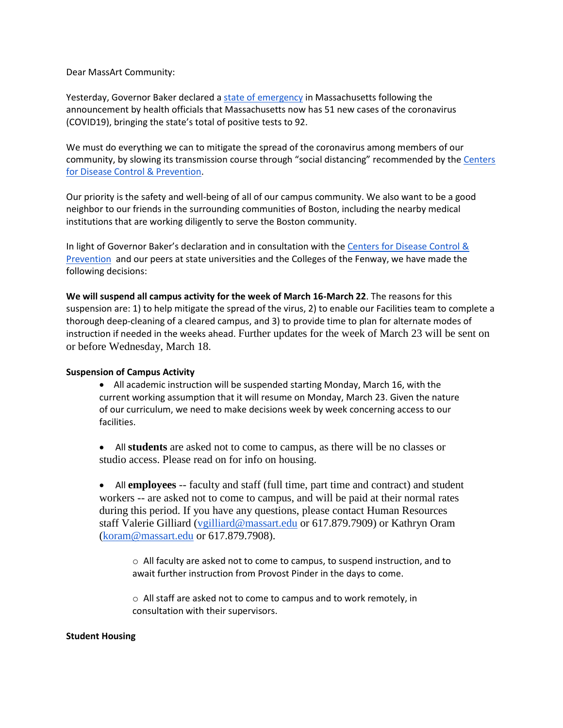Dear MassArt Community:

Yesterday, Governor Baker declared a [state of emergency](https://www.mass.gov/news/governor-baker-declares-state-of-emergency-to-support-commonwealths-response-to-coronavirus) in Massachusetts following the announcement by health officials that Massachusetts now has 51 new cases of the coronavirus (COVID19), bringing the state's total of positive tests to 92.

We must do everything we can to mitigate the spread of the coronavirus among members of our community, by slowing its transmission course through "social distancing" recommended by the Centers [for Disease Control & Prevention.](https://www.cdc.gov/coronavirus/2019-ncov/community/index.html)

Our priority is the safety and well-being of all of our campus community. We also want to be a good neighbor to our friends in the surrounding communities of Boston, including the nearby medical institutions that are working diligently to serve the Boston community.

In light of Governor Baker's declaration and in consultation with the [Centers for Disease Control &](http://www.cdc.gov/coronavirus/2019-ncov/index.html)  [Prevention](http://www.cdc.gov/coronavirus/2019-ncov/index.html) and our peers at state universities and the Colleges of the Fenway, we have made the following decisions:

**We will suspend all campus activity for the week of March 16-March 22**. The reasons for this suspension are: 1) to help mitigate the spread of the virus, 2) to enable our Facilities team to complete a thorough deep-cleaning of a cleared campus, and 3) to provide time to plan for alternate modes of instruction if needed in the weeks ahead. Further updates for the week of March 23 will be sent on or before Wednesday, March 18.

## **Suspension of Campus Activity**

 All academic instruction will be suspended starting Monday, March 16, with the current working assumption that it will resume on Monday, March 23. Given the nature of our curriculum, we need to make decisions week by week concerning access to our facilities.

 All **students** are asked not to come to campus, as there will be no classes or studio access. Please read on for info on housing.

 All **employees** -- faculty and staff (full time, part time and contract) and student workers -- are asked not to come to campus, and will be paid at their normal rates during this period. If you have any questions, please contact Human Resources staff Valerie Gilliard [\(vgilliard@massart.edu](mailto:vguilliard@massart.edu) or 617.879.7909) or Kathryn Oram [\(koram@massart.edu](mailto:koram@massart.edu) or 617.879.7908).

o All faculty are asked not to come to campus, to suspend instruction, and to await further instruction from Provost Pinder in the days to come.

o All staff are asked not to come to campus and to work remotely, in consultation with their supervisors.

## **Student Housing**